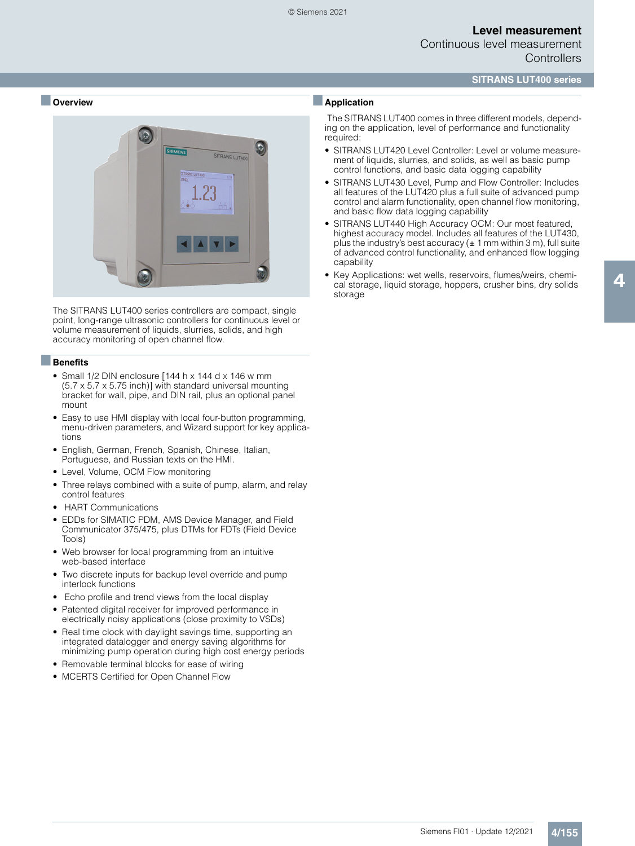### **SITRANS LUT400 series**

#### ■ **Overview**



The SITRANS LUT400 series controllers are compact, single point, long-range ultrasonic controllers for continuous level or volume measurement of liquids, slurries, solids, and high accuracy monitoring of open channel flow.

#### ■**Benefits**

- Small 1/2 DIN enclosure [144 h x 144 d x 146 w mm (5.7 x 5.7 x 5.75 inch)] with standard universal mounting bracket for wall, pipe, and DIN rail, plus an optional panel mount
- Easy to use HMI display with local four-button programming, menu-driven parameters, and Wizard support for key applications
- English, German, French, Spanish, Chinese, Italian, Portuguese, and Russian texts on the HMI.
- Level, Volume, OCM Flow monitoring
- Three relays combined with a suite of pump, alarm, and relay control features
- HART Communications
- EDDs for SIMATIC PDM, AMS Device Manager, and Field Communicator 375/475, plus DTMs for FDTs (Field Device Tools)
- Web browser for local programming from an intuitive web-based interface
- Two discrete inputs for backup level override and pump interlock functions
- Echo profile and trend views from the local display
- Patented digital receiver for improved performance in electrically noisy applications (close proximity to VSDs)
- Real time clock with daylight savings time, supporting an integrated datalogger and energy saving algorithms for minimizing pump operation during high cost energy periods
- Removable terminal blocks for ease of wiring
- MCERTS Certified for Open Channel Flow

### ■**Application**

The SITRANS LUT400 comes in three different models, depending on the application, level of performance and functionality required:

- SITRANS LUT420 Level Controller: Level or volume measurement of liquids, slurries, and solids, as well as basic pump control functions, and basic data logging capability
- SITRANS LUT430 Level, Pump and Flow Controller: Includes all features of the LUT420 plus a full suite of advanced pump control and alarm functionality, open channel flow monitoring, and basic flow data logging capability
- SITRANS LUT440 High Accuracy OCM: Our most featured, highest accuracy model. Includes all features of the LUT430, plus the industry's best accuracy ( $\pm$  1 mm within 3 m), full suite of advanced control functionality, and enhanced flow logging capability
- Key Applications: wet wells, reservoirs, flumes/weirs, chemical storage, liquid storage, hoppers, crusher bins, dry solids storage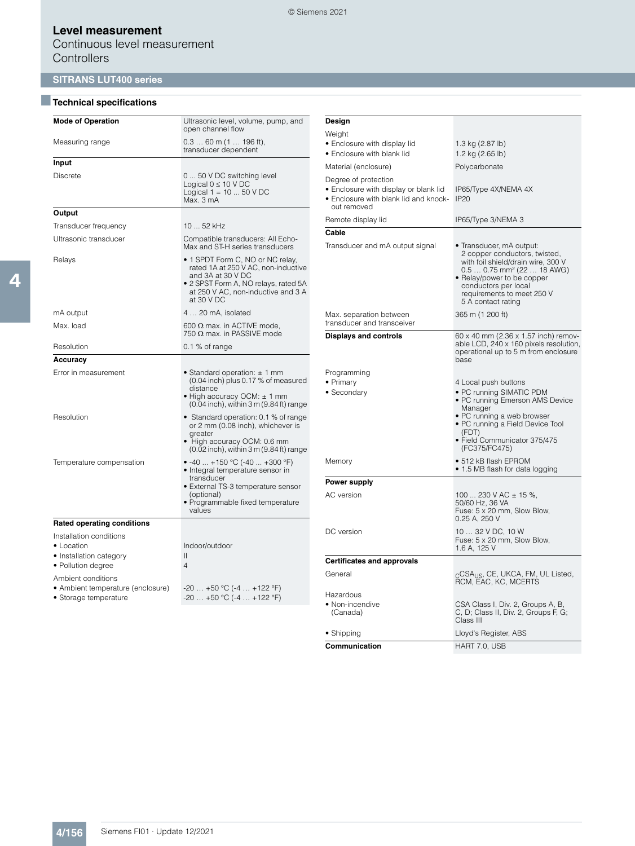Continuous level measurement **Controllers** 

# **SITRANS LUT400 series**

### ■**Technical specifications**

| <b>Mode of Operation</b>                                                                                                                          | Ultrasonic level, volume, pump, and<br>open channel flow                                                                                                                                 |
|---------------------------------------------------------------------------------------------------------------------------------------------------|------------------------------------------------------------------------------------------------------------------------------------------------------------------------------------------|
| Measuring range                                                                                                                                   | $0.360$ m (1  196 ft),<br>transducer dependent                                                                                                                                           |
| Input                                                                                                                                             |                                                                                                                                                                                          |
| <b>Discrete</b>                                                                                                                                   | 0 50 V DC switching level<br>Logical $0 \leq 10 \text{ V DC}$<br>Logical $1 = 1050$ V DC<br>Max. 3 mA                                                                                    |
| Output                                                                                                                                            |                                                                                                                                                                                          |
| Transducer frequency                                                                                                                              | 10  52 kHz                                                                                                                                                                               |
| Ultrasonic transducer                                                                                                                             | Compatible transducers: All Echo-<br>Max and ST-H series transducers                                                                                                                     |
| Relays                                                                                                                                            | • 1 SPDT Form C, NO or NC relay,<br>rated 1A at 250 V AC, non-inductive<br>and 3A at 30 V DC<br>• 2 SPST Form A, NO relays, rated 5A<br>at 250 V AC, non-inductive and 3 A<br>at 30 V DC |
| mA output                                                                                                                                         | 4  20 mA, isolated                                                                                                                                                                       |
| Max. load                                                                                                                                         | 600 $\Omega$ max. in ACTIVE mode,<br>750 $\Omega$ max. in PASSIVE mode                                                                                                                   |
| Resolution                                                                                                                                        | $0.1\%$ of range                                                                                                                                                                         |
| Accuracy                                                                                                                                          |                                                                                                                                                                                          |
| Error in measurement                                                                                                                              | • Standard operation: $\pm$ 1 mm<br>(0.04 inch) plus 0.17 % of measured<br>distance<br>• High accuracy OCM: ± 1 mm<br>(0.04 inch), within 3 m (9.84 ft) range                            |
| Resolution                                                                                                                                        | • Standard operation: 0.1 % of range<br>or 2 mm (0.08 inch), whichever is<br>greater<br>• High accuracy OCM: 0.6 mm<br>(0.02 inch), within 3 m (9.84 ft) range                           |
| Temperature compensation                                                                                                                          | • -40  +150 °C (-40  +300 °F)<br>• Integral temperature sensor in<br>transducer<br>• External TS-3 temperature sensor<br>(optional)<br>• Programmable fixed temperature<br>values        |
| <b>Rated operating conditions</b>                                                                                                                 |                                                                                                                                                                                          |
| Installation conditions<br>• Location<br>• Installation category<br>• Pollution degree<br>Ambient conditions<br>• Ambient temperature (enclosure) | Indoor/outdoor<br>$\mathsf{II}$<br>4<br>$-20+50$ °C (-4  +122 °F)                                                                                                                        |
| • Storage temperature                                                                                                                             | $-20+50$ °C (-4  +122 °F)                                                                                                                                                                |

| Design                                                                                                                |                                                                                                                                                                                                                                                     |
|-----------------------------------------------------------------------------------------------------------------------|-----------------------------------------------------------------------------------------------------------------------------------------------------------------------------------------------------------------------------------------------------|
| Weight                                                                                                                |                                                                                                                                                                                                                                                     |
| • Enclosure with display lid<br>• Enclosure with blank lid                                                            | 1.3 kg (2.87 lb)<br>1.2 kg (2.65 lb)                                                                                                                                                                                                                |
| Material (enclosure)                                                                                                  | Polycarbonate                                                                                                                                                                                                                                       |
| Degree of protection<br>· Enclosure with display or blank lid<br>• Enclosure with blank lid and knock-<br>out removed | IP65/Type 4X/NEMA 4X<br><b>IP20</b>                                                                                                                                                                                                                 |
| Remote display lid                                                                                                    | IP65/Type 3/NEMA 3                                                                                                                                                                                                                                  |
| Cable                                                                                                                 |                                                                                                                                                                                                                                                     |
| Transducer and mA output signal                                                                                       | • Transducer, mA output:<br>2 copper conductors, twisted,<br>with foil shield/drain wire, 300 V<br>$0.50.75$ mm <sup>2</sup> (22  18 AWG)<br>• Relay/power to be copper<br>conductors per local<br>requirements to meet 250 V<br>5 A contact rating |
| Max. separation between<br>transducer and transceiver                                                                 | 365 m (1 200 ft)                                                                                                                                                                                                                                    |
| <b>Displays and controls</b>                                                                                          | 60 x 40 mm (2.36 x 1.57 inch) remov-<br>able LCD, 240 x 160 pixels resolution,<br>operational up to 5 m from enclosure<br>base                                                                                                                      |
| Programming                                                                                                           |                                                                                                                                                                                                                                                     |
| • Primary<br>• Secondary                                                                                              | 4 Local push buttons<br>• PC running SIMATIC PDM<br>• PC running Emerson AMS Device<br>Manager<br>• PC running a web browser<br>• PC running a Field Device Tool<br>(FDT)<br>· Field Communicator 375/475<br>(FC375/FC475)                          |
| Memory                                                                                                                | • 512 kB flash EPROM<br>• 1.5 MB flash for data logging                                                                                                                                                                                             |
| <b>Power supply</b>                                                                                                   |                                                                                                                                                                                                                                                     |
| AC version                                                                                                            | 100  230 V AC $\pm$ 15 %,<br>50/60 Hz, 36 VA<br>Fuse: 5 x 20 mm, Slow Blow,<br>0.25 A, 250 V                                                                                                                                                        |
| DC version                                                                                                            | 10  32 V DC, 10 W<br>Fuse: 5 x 20 mm, Slow Blow,<br>1.6 A, 125 V                                                                                                                                                                                    |
| <b>Certificates and approvals</b>                                                                                     |                                                                                                                                                                                                                                                     |
| General                                                                                                               | <sub>C</sub> CSA <sub>US</sub> , CE, UKCA, FM, UL Listed,<br>ŘCM, EAC, KC, MCERTS                                                                                                                                                                   |
| Hazardous<br>• Non-incendive<br>(Canada)                                                                              | CSA Class I, Div. 2, Groups A, B,<br>C, D; Class II, Div. 2, Groups F, G;<br>Class III                                                                                                                                                              |
| $\bullet$ Shipping                                                                                                    | Lloyd's Register, ABS                                                                                                                                                                                                                               |
| Communication                                                                                                         | HART 7.0, USB                                                                                                                                                                                                                                       |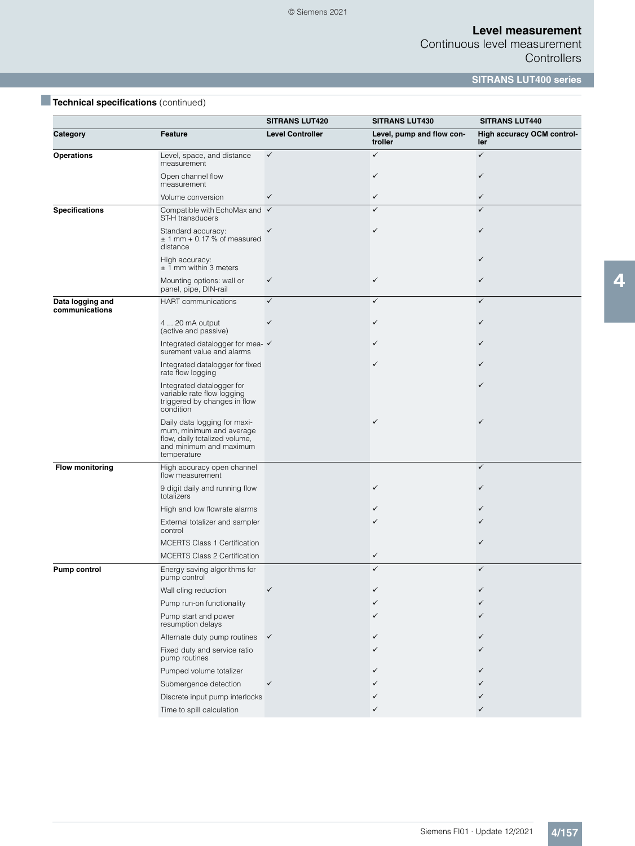Continuous level measurement **Controllers** 

**SITRANS LUT400 series**

|  | Technical specifications (continued) |  |
|--|--------------------------------------|--|
|  |                                      |  |

|                                    |                                                                                                                                     | <b>SITRANS LUT420</b>   | <b>SITRANS LUT430</b>                | <b>SITRANS LUT440</b>             |
|------------------------------------|-------------------------------------------------------------------------------------------------------------------------------------|-------------------------|--------------------------------------|-----------------------------------|
| Category                           | <b>Feature</b>                                                                                                                      | <b>Level Controller</b> | Level, pump and flow con-<br>troller | High accuracy OCM control-<br>ler |
| <b>Operations</b>                  | Level, space, and distance<br>measurement                                                                                           | $\checkmark$            | $\checkmark$                         | $\checkmark$                      |
|                                    | Open channel flow<br>measurement                                                                                                    |                         | ✓                                    | ✓                                 |
|                                    | Volume conversion                                                                                                                   | ✓                       | $\checkmark$                         | $\checkmark$                      |
| <b>Specifications</b>              | Compatible with EchoMax and √<br>ST-H transducers                                                                                   |                         | $\checkmark$                         | $\checkmark$                      |
|                                    | Standard accuracy:<br>$± 1$ mm $+ 0.17$ % of measured<br>distance                                                                   |                         | ✓                                    |                                   |
|                                    | High accuracy:<br>$± 1$ mm within 3 meters                                                                                          |                         |                                      |                                   |
|                                    | Mounting options: wall or<br>panel, pipe, DIN-rail                                                                                  | ✓                       | $\checkmark$                         |                                   |
| Data logging and<br>communications | <b>HART</b> communications                                                                                                          | $\checkmark$            | $\checkmark$                         | $\checkmark$                      |
|                                    | 4  20 mA output<br>(active and passive)                                                                                             | ✓                       | ✓                                    |                                   |
|                                    | Integrated datalogger for mea- ✔<br>surement value and alarms                                                                       |                         | ✓                                    |                                   |
|                                    | Integrated datalogger for fixed<br>rate flow logging                                                                                |                         | ✓                                    |                                   |
|                                    | Integrated datalogger for<br>variable rate flow logging<br>triggered by changes in flow<br>condition                                |                         |                                      |                                   |
|                                    | Daily data logging for maxi-<br>mum, minimum and average<br>flow, daily totalized volume,<br>and minimum and maximum<br>temperature |                         | ✓                                    |                                   |
| <b>Flow monitoring</b>             | High accuracy open channel<br>flow measurement                                                                                      |                         |                                      | $\checkmark$                      |
|                                    | 9 digit daily and running flow<br>totalizers                                                                                        |                         | ✓                                    |                                   |
|                                    | High and low flowrate alarms                                                                                                        |                         |                                      |                                   |
|                                    | External totalizer and sampler<br>control                                                                                           |                         |                                      |                                   |
|                                    | <b>MCERTS Class 1 Certification</b>                                                                                                 |                         |                                      |                                   |
|                                    | <b>MCERTS Class 2 Certification</b>                                                                                                 |                         | $\checkmark$                         |                                   |
| <b>Pump control</b>                | Energy saving algorithms for<br>pump control                                                                                        |                         | $\checkmark$                         | ✓                                 |
|                                    | Wall cling reduction                                                                                                                |                         |                                      |                                   |
|                                    | Pump run-on functionality                                                                                                           |                         | ✓                                    |                                   |
|                                    | Pump start and power<br>resumption delays                                                                                           |                         | ✓                                    |                                   |
|                                    | Alternate duty pump routines                                                                                                        | $\checkmark$            | ✓                                    |                                   |
|                                    | Fixed duty and service ratio<br>pump routines                                                                                       |                         | ✓                                    |                                   |
|                                    | Pumped volume totalizer                                                                                                             |                         |                                      |                                   |
|                                    | Submergence detection                                                                                                               | ✓                       |                                      |                                   |
|                                    | Discrete input pump interlocks                                                                                                      |                         |                                      |                                   |
|                                    | Time to spill calculation                                                                                                           |                         | ✓                                    |                                   |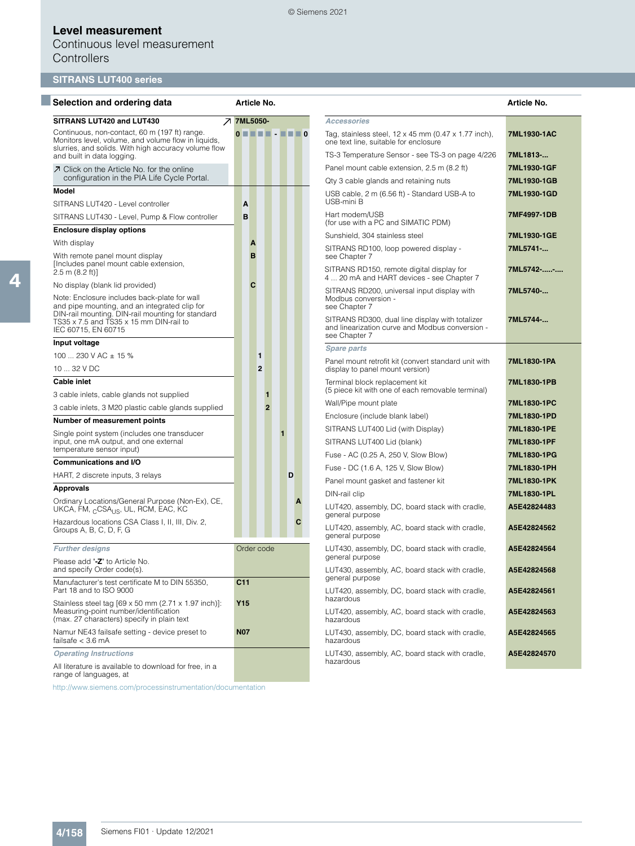#### © Siemens 2021

## **Level measurement**

Continuous level measurement **Controllers** 

# **SITRANS LUT400 series**

| Selection and ordering data                                                                                                                                  |                                   | Article No.    |                |                                                                                                                     | Article No. |
|--------------------------------------------------------------------------------------------------------------------------------------------------------------|-----------------------------------|----------------|----------------|---------------------------------------------------------------------------------------------------------------------|-------------|
| SITRANS LUT420 and LUT430                                                                                                                                    |                                   | フ 7ML5050-     |                | <b>Accessories</b>                                                                                                  |             |
| Continuous, non-contact, 60 m (197 ft) range.<br>Monitors level, volume, and volume flow in liquids,<br>slurries, and solids. With high accuracy volume flow | $0$ $\blacksquare$ $\blacksquare$ |                | $\blacksquare$ | Tag, stainless steel, $12 \times 45$ mm (0.47 $\times$ 1.77 inch),<br>one text line, suitable for enclosure         | 7ML1930-1AC |
| and built in data logging.                                                                                                                                   |                                   |                |                | TS-3 Temperature Sensor - see TS-3 on page 4/226                                                                    | 7ML1813-    |
| ○ Click on the Article No. for the online                                                                                                                    |                                   |                |                | Panel mount cable extension, 2.5 m (8.2 ft)                                                                         | 7ML1930-1GF |
| configuration in the PIA Life Cycle Portal.                                                                                                                  |                                   |                |                | Qty 3 cable glands and retaining nuts                                                                               | 7ML1930-1GB |
| <b>Model</b>                                                                                                                                                 |                                   |                |                | USB cable, 2 m (6.56 ft) - Standard USB-A to<br>USB-mini B                                                          | 7ML1930-1GD |
| SITRANS LUT420 - Level controller                                                                                                                            | A                                 |                |                | Hart modem/USB                                                                                                      | 7MF4997-1DB |
| SITRANS LUT430 - Level, Pump & Flow controller                                                                                                               | B                                 |                |                | (for use with a PC and SIMATIC PDM)                                                                                 |             |
| <b>Enclosure display options</b>                                                                                                                             |                                   |                |                | Sunshield, 304 stainless steel                                                                                      | 7ML1930-1GE |
| With display                                                                                                                                                 | A                                 |                |                | SITRANS RD100, loop powered display -                                                                               | 7ML5741-    |
| With remote panel mount display<br>[Includes panel mount cable extension,<br>$2.5 \text{ m} (8.2 \text{ ft})$                                                | B                                 |                |                | see Chapter 7<br>SITRANS RD150, remote digital display for                                                          | 7ML5742--   |
| No display (blank lid provided)                                                                                                                              | C                                 |                |                | 4  20 mA and HART devices - see Chapter 7                                                                           |             |
| Note: Enclosure includes back-plate for wall<br>and pipe mounting, and an integrated clip for                                                                |                                   |                |                | SITRANS RD200, universal input display with<br>Modbus conversion -<br>see Chapter 7                                 | 7ML5740-    |
| DIN-rail mounting. DIN-rail mounting for standard<br>TS35 x 7.5 and TS35 x 15 mm DIN-rail to<br>IEC 60715, EN 60715                                          |                                   |                |                | SITRANS RD300, dual line display with totalizer<br>and linearization curve and Modbus conversion -<br>see Chapter 7 | 7ML5744-    |
| Input voltage                                                                                                                                                |                                   |                |                | <b>Spare parts</b>                                                                                                  |             |
| 100  230 V AC $\pm$ 15 %                                                                                                                                     |                                   | $\mathbf{1}$   |                | Panel mount retrofit kit (convert standard unit with                                                                | 7ML1830-1PA |
| 10  32 V DC                                                                                                                                                  |                                   | $\mathbf{2}$   |                | display to panel mount version)                                                                                     |             |
| <b>Cable inlet</b><br>3 cable inlets, cable glands not supplied                                                                                              |                                   | 1              |                | Terminal block replacement kit<br>(5 piece kit with one of each removable terminal)                                 | 7ML1830-1PB |
| 3 cable inlets, 3 M20 plastic cable glands supplied                                                                                                          |                                   | $\overline{2}$ |                | Wall/Pipe mount plate                                                                                               | 7ML1830-1PC |
| Number of measurement points                                                                                                                                 |                                   |                |                | Enclosure (include blank label)                                                                                     | 7ML1830-1PD |
| Single point system (includes one transducer                                                                                                                 |                                   |                | $\blacksquare$ | SITRANS LUT400 Lid (with Display)                                                                                   | 7ML1830-1PE |
| input, one mA output, and one external                                                                                                                       |                                   |                |                | SITRANS LUT400 Lid (blank)                                                                                          | 7ML1830-1PF |
| temperature sensor input)                                                                                                                                    |                                   |                |                | Fuse - AC (0.25 A, 250 V, Slow Blow)                                                                                | 7ML1830-1PG |
| <b>Communications and I/O</b>                                                                                                                                |                                   |                |                | Fuse - DC (1.6 A, 125 V, Slow Blow)                                                                                 | 7ML1830-1PH |
| HART, 2 discrete inputs, 3 relays                                                                                                                            |                                   |                | D              | Panel mount gasket and fastener kit                                                                                 | 7ML1830-1PK |
| <b>Approvals</b>                                                                                                                                             |                                   |                |                | DIN-rail clip                                                                                                       | 7ML1830-1PL |
| Ordinary Locations/General Purpose (Non-Ex), CE,<br>UKCA, FM, <sub>C</sub> CSA <sub>US</sub> , UL, RCM, EAC, KC                                              |                                   |                | A              | LUT420, assembly, DC, board stack with cradle,<br>general purpose                                                   | A5E42824483 |
| Hazardous locations CSA Class I, II, III, Div. 2,<br>Groups A, B, C, D, F, G                                                                                 |                                   |                | С              | LUT420, assembly, AC, board stack with cradle,<br>general purpose                                                   | A5E42824562 |
| <b>Further designs</b>                                                                                                                                       |                                   | Order code     |                | LUT430, assembly, DC, board stack with cradle,                                                                      | A5E42824564 |
| Please add "-Z" to Article No.<br>and specify Order code(s).                                                                                                 |                                   |                |                | general purpose<br>LUT430, assembly, AC, board stack with cradle,                                                   | A5E42824568 |
| Manufacturer's test certificate M to DIN 55350,<br>Part 18 and to ISO 9000                                                                                   | C <sub>11</sub>                   |                |                | general purpose<br>LUT420, assembly, DC, board stack with cradle,                                                   | A5E42824561 |
| Stainless steel tag [69 x 50 mm (2.71 x 1.97 inch)]:<br>Measuring-point number/identification<br>(max. 27 characters) specify in plain text                  | Y <sub>15</sub>                   |                |                | hazardous<br>LUT420, assembly, AC, board stack with cradle,<br>hazardous                                            | A5E42824563 |
| Namur NE43 failsafe setting - device preset to<br>failsafe $<$ 3.6 mA                                                                                        | <b>N07</b>                        |                |                | LUT430, assembly, DC, board stack with cradle,<br>hazardous                                                         | A5E42824565 |
| <b>Operating Instructions</b>                                                                                                                                |                                   |                |                | LUT430, assembly, AC, board stack with cradle,                                                                      | A5E42824570 |
| All literature is available to download for free, in a<br>range of languages, at                                                                             |                                   |                |                | hazardous                                                                                                           |             |

http://www.siemens.com/processinstrumentation/documentation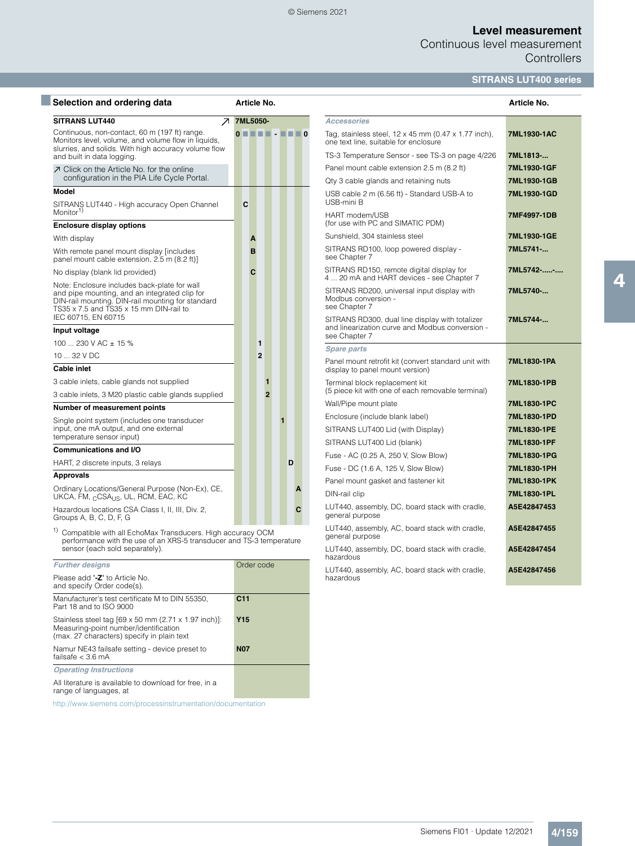#### © Siemens 2021

## **Level measurement**

Continuous level measurement **Controllers** 

# **SITRANS LUT400 series**

| Selection and ordering data                                                                                                                                                                   | Article No.                                         |                |                |                                                             |             |                                                                                                                     | Article No. |
|-----------------------------------------------------------------------------------------------------------------------------------------------------------------------------------------------|-----------------------------------------------------|----------------|----------------|-------------------------------------------------------------|-------------|---------------------------------------------------------------------------------------------------------------------|-------------|
| <b>SITRANS LUT440</b><br>↗                                                                                                                                                                    | 7ML5050-                                            |                |                |                                                             |             | <b>Accessories</b>                                                                                                  |             |
| Continuous, non-contact, 60 m (197 ft) range.<br>Monitors level, volume, and volume flow in liquids,<br>slurries, and solids. With high accuracy volume flow                                  | $\mathbf{0} = \mathbf{0} = \mathbf{0} = \mathbf{0}$ |                |                |                                                             |             | Tag, stainless steel, $12 \times 45$ mm (0.47 $\times$ 1.77 inch),<br>one text line, suitable for enclosure         | 7ML1930-1AC |
| and built in data logging.                                                                                                                                                                    |                                                     |                |                |                                                             |             | TS-3 Temperature Sensor - see TS-3 on page 4/226                                                                    | 7ML1813-    |
| 7 Click on the Article No. for the online                                                                                                                                                     |                                                     |                |                |                                                             |             | Panel mount cable extension 2.5 m (8.2 ft)                                                                          | 7ML1930-1GF |
| configuration in the PIA Life Cycle Portal.                                                                                                                                                   |                                                     |                |                |                                                             |             | Qty 3 cable glands and retaining nuts                                                                               | 7ML1930-1GB |
| Model                                                                                                                                                                                         |                                                     |                |                |                                                             |             | USB cable 2 m (6.56 ft) - Standard USB-A to<br>USB-mini B                                                           | 7ML1930-1GD |
| SITRANS LUT440 - High accuracy Open Channel<br>Monitor <sup>1)</sup>                                                                                                                          | C                                                   |                |                |                                                             |             | HART modem/USB                                                                                                      | 7MF4997-1DB |
| <b>Enclosure display options</b>                                                                                                                                                              |                                                     |                |                |                                                             |             | (for use with PC and SIMATIC PDM)                                                                                   |             |
| With display                                                                                                                                                                                  | A                                                   |                |                |                                                             |             | Sunshield, 304 stainless steel                                                                                      | 7ML1930-1GE |
| With remote panel mount display [includes]<br>panel mount cable extension, 2.5 m (8.2 ft)]                                                                                                    | B                                                   |                |                |                                                             |             | SITRANS RD100, loop powered display -<br>see Chapter 7                                                              | 7ML5741-    |
| No display (blank lid provided)                                                                                                                                                               | C                                                   |                |                |                                                             |             | SITRANS RD150, remote digital display for<br>4  20 mA and HART devices - see Chapter 7                              | 7ML5742--   |
| Note: Enclosure includes back-plate for wall<br>and pipe mounting, and an integrated clip for<br>DIN-rail mounting. DIN-rail mounting for standard<br>TS35 x 7.5 and TS35 x 15 mm DIN-rail to |                                                     |                |                |                                                             |             | SITRANS RD200, universal input display with<br>Modbus conversion -<br>see Chapter 7                                 | 7ML5740-    |
| IEC 60715, EN 60715<br>Input voltage                                                                                                                                                          |                                                     |                |                |                                                             |             | SITRANS RD300, dual line display with totalizer<br>and linearization curve and Modbus conversion -<br>see Chapter 7 | 7ML5744-    |
| 100  230 V AC $\pm$ 15 %                                                                                                                                                                      |                                                     | 1              |                |                                                             |             | <b>Spare parts</b>                                                                                                  |             |
| $1032$ V DC                                                                                                                                                                                   |                                                     | $\overline{2}$ |                |                                                             |             | Panel mount retrofit kit (convert standard unit with                                                                | 7ML1830-1PA |
| <b>Cable inlet</b>                                                                                                                                                                            |                                                     |                |                |                                                             |             | display to panel mount version)                                                                                     |             |
| 3 cable inlets, cable glands not supplied                                                                                                                                                     |                                                     |                | 1              |                                                             |             | Terminal block replacement kit                                                                                      | 7ML1830-1PB |
| 3 cable inlets, 3 M20 plastic cable glands supplied                                                                                                                                           |                                                     |                | $\overline{2}$ |                                                             |             | (5 piece kit with one of each removable terminal)                                                                   | 7ML1830-1PC |
| Number of measurement points                                                                                                                                                                  |                                                     |                |                |                                                             |             | Wall/Pipe mount plate                                                                                               |             |
| Single point system (includes one transducer                                                                                                                                                  |                                                     |                |                | f                                                           |             | Enclosure (include blank label)                                                                                     | 7ML1830-1PD |
| input, one mA output, and one external<br>temperature sensor input)                                                                                                                           |                                                     |                |                |                                                             |             | SITRANS LUT400 Lid (with Display)                                                                                   | 7ML1830-1PE |
| <b>Communications and I/O</b>                                                                                                                                                                 |                                                     |                |                |                                                             |             | SITRANS LUT400 Lid (blank)                                                                                          | 7ML1830-1PF |
| HART, 2 discrete inputs, 3 relays                                                                                                                                                             |                                                     |                |                | D                                                           |             | Fuse - AC (0.25 A, 250 V, Slow Blow)                                                                                | 7ML1830-1PG |
| <b>Approvals</b>                                                                                                                                                                              |                                                     |                |                |                                                             |             | Fuse - DC (1.6 A, 125 V, Slow Blow)                                                                                 | 7ML1830-1PH |
| Ordinary Locations/General Purpose (Non-Ex), CE,                                                                                                                                              |                                                     |                |                |                                                             |             | Panel mount gasket and fastener kit                                                                                 | 7ML1830-1PK |
| UKCA, FM, <sub>C</sub> CSA <sub>US</sub> , UL, RCM, EAC, KC                                                                                                                                   |                                                     |                |                |                                                             |             | DIN-rail clip                                                                                                       | 7ML1830-1PL |
| Hazardous locations CSA Class I, II, III, Div. 2,<br>Groups A, B, C, D, F, G                                                                                                                  |                                                     |                |                |                                                             | C           | LUT440, assembly, DC, board stack with cradle,<br>general purpose                                                   | A5E42847453 |
| <sup>1)</sup> Compatible with all EchoMax Transducers. High accuracy OCM<br>performance with the use of an XRS-5 transducer and TS-3 temperature                                              |                                                     |                |                |                                                             |             | LUT440, assembly, AC, board stack with cradle,<br>general purpose                                                   | A5E42847455 |
| sensor (each sold separately).                                                                                                                                                                |                                                     |                |                | LUT440, assembly, DC, board stack with cradle,<br>hazardous | A5E42847454 |                                                                                                                     |             |

**Further designs Constanting Community Community Community Community Community Community Community Community** Please add "**-Z**" to Article No. and specify Order code(s). Manufacturer's test certificate M to DIN 55350, Part 18 and to ISO 9000 **C11** Stainless steel tag [69 x 50 mm (2.71 x 1.97 inch)]: Measuring-point number/identification (max. 27 characters) specify in plain text **Y15** Namur NE43 failsafe setting - device preset to failsafe < 3.6 mA **N07** *Operating Instructions* All literature is available to download for free, in a range of languages, at

http://www.siemens.com/processinstrumentation/documentation

**A5E42847456**

LUT440, assembly, AC, board stack with cradle,

hazardous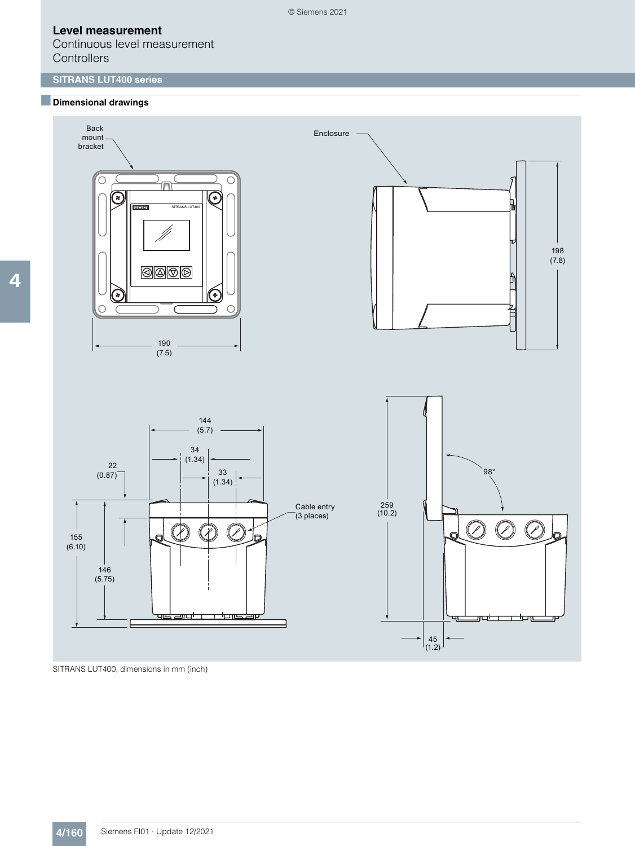Continuous level measurement **Controllers** 

# **SITRANS LUT400 series**

### ■**Dimensional drawings**



SITRANS LUT400, dimensions in mm (inch)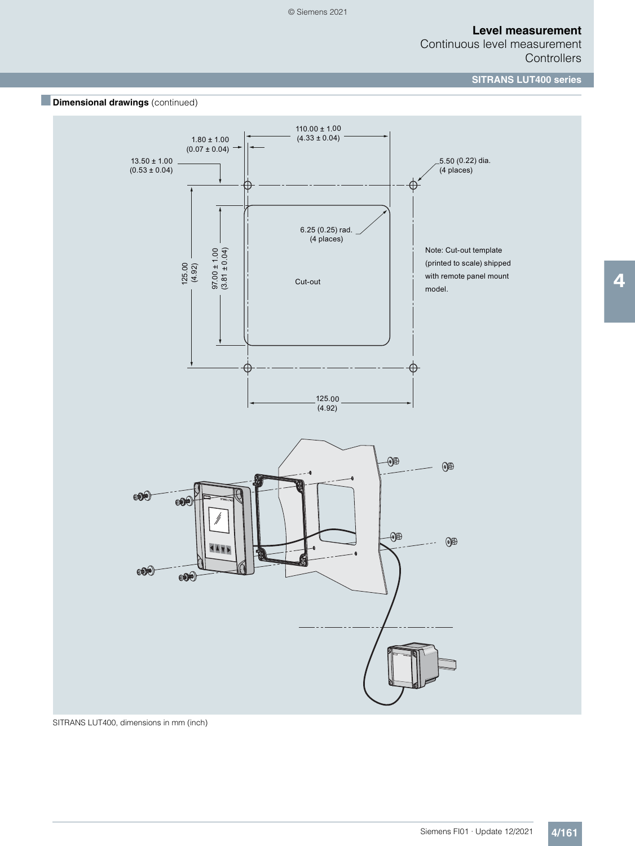Continuous level measurement **Controllers** 

**SITRANS LUT400 series**



SITRANS LUT400, dimensions in mm (inch)

Siemens FI01 · Update 12/2021 **4/161**